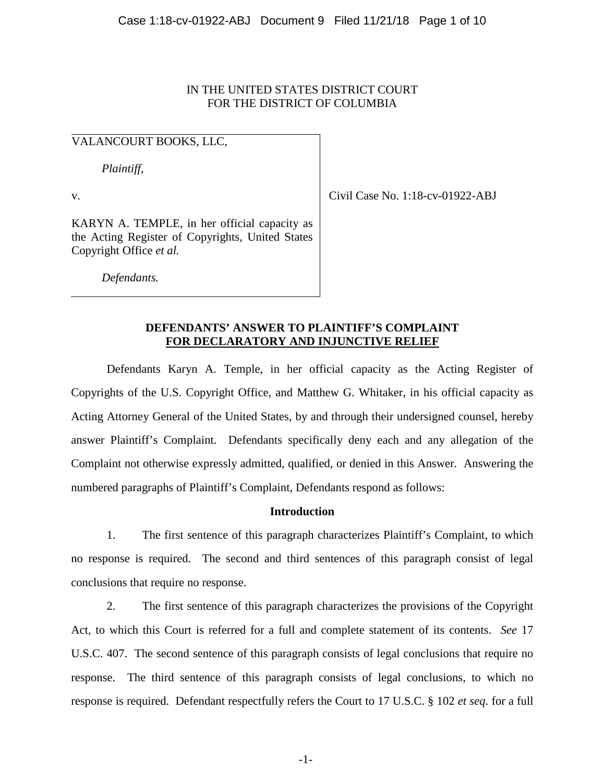# IN THE UNITED STATES DISTRICT COURT FOR THE DISTRICT OF COLUMBIA

# VALANCOURT BOOKS, LLC,

*Plaintiff,*

v.

Civil Case No. 1:18-cv-01922-ABJ

KARYN A. TEMPLE, in her official capacity as the Acting Register of Copyrights, United States Copyright Office *et al.*

*Defendants.*

# **DEFENDANTS' ANSWER TO PLAINTIFF'S COMPLAINT FOR DECLARATORY AND INJUNCTIVE RELIEF**

Defendants Karyn A. Temple, in her official capacity as the Acting Register of Copyrights of the U.S. Copyright Office, and Matthew G. Whitaker, in his official capacity as Acting Attorney General of the United States, by and through their undersigned counsel, hereby answer Plaintiff's Complaint. Defendants specifically deny each and any allegation of the Complaint not otherwise expressly admitted, qualified, or denied in this Answer. Answering the numbered paragraphs of Plaintiff's Complaint, Defendants respond as follows:

# **Introduction**

1. The first sentence of this paragraph characterizes Plaintiff's Complaint, to which no response is required. The second and third sentences of this paragraph consist of legal conclusions that require no response.

2. The first sentence of this paragraph characterizes the provisions of the Copyright Act, to which this Court is referred for a full and complete statement of its contents. *See* 17 U.S.C. 407. The second sentence of this paragraph consists of legal conclusions that require no response. The third sentence of this paragraph consists of legal conclusions, to which no response is required. Defendant respectfully refers the Court to 17 U.S.C. § 102 *et seq*. for a full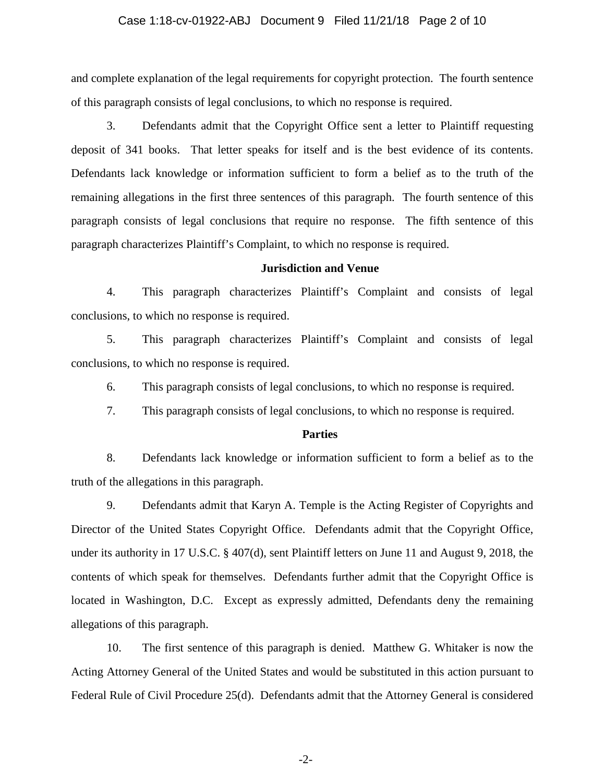#### Case 1:18-cv-01922-ABJ Document 9 Filed 11/21/18 Page 2 of 10

and complete explanation of the legal requirements for copyright protection. The fourth sentence of this paragraph consists of legal conclusions, to which no response is required.

3. Defendants admit that the Copyright Office sent a letter to Plaintiff requesting deposit of 341 books. That letter speaks for itself and is the best evidence of its contents. Defendants lack knowledge or information sufficient to form a belief as to the truth of the remaining allegations in the first three sentences of this paragraph. The fourth sentence of this paragraph consists of legal conclusions that require no response. The fifth sentence of this paragraph characterizes Plaintiff's Complaint, to which no response is required.

#### **Jurisdiction and Venue**

4. This paragraph characterizes Plaintiff's Complaint and consists of legal conclusions, to which no response is required.

5. This paragraph characterizes Plaintiff's Complaint and consists of legal conclusions, to which no response is required.

6. This paragraph consists of legal conclusions, to which no response is required.

7. This paragraph consists of legal conclusions, to which no response is required.

#### **Parties**

8. Defendants lack knowledge or information sufficient to form a belief as to the truth of the allegations in this paragraph.

9. Defendants admit that Karyn A. Temple is the Acting Register of Copyrights and Director of the United States Copyright Office. Defendants admit that the Copyright Office, under its authority in 17 U.S.C. § 407(d), sent Plaintiff letters on June 11 and August 9, 2018, the contents of which speak for themselves. Defendants further admit that the Copyright Office is located in Washington, D.C. Except as expressly admitted, Defendants deny the remaining allegations of this paragraph.

10. The first sentence of this paragraph is denied. Matthew G. Whitaker is now the Acting Attorney General of the United States and would be substituted in this action pursuant to Federal Rule of Civil Procedure 25(d). Defendants admit that the Attorney General is considered

-2-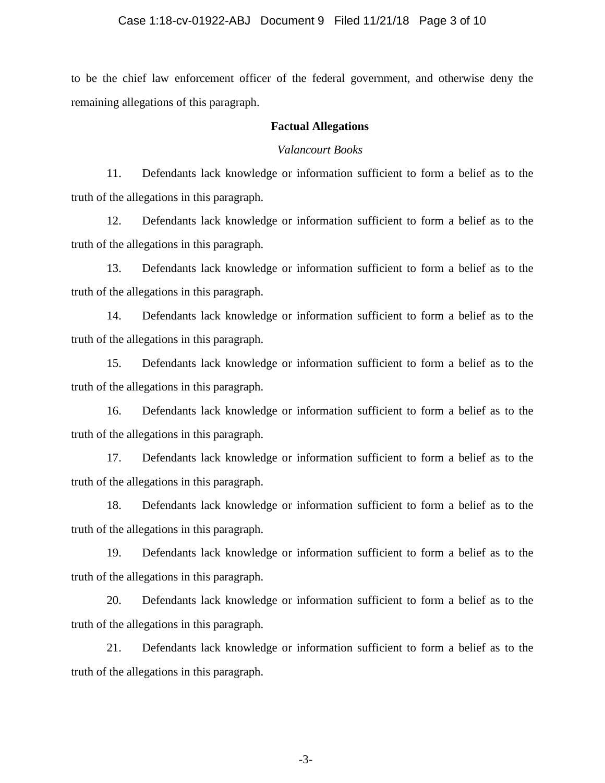#### Case 1:18-cv-01922-ABJ Document 9 Filed 11/21/18 Page 3 of 10

to be the chief law enforcement officer of the federal government, and otherwise deny the remaining allegations of this paragraph.

#### **Factual Allegations**

#### *Valancourt Books*

11. Defendants lack knowledge or information sufficient to form a belief as to the truth of the allegations in this paragraph.

12. Defendants lack knowledge or information sufficient to form a belief as to the truth of the allegations in this paragraph.

13. Defendants lack knowledge or information sufficient to form a belief as to the truth of the allegations in this paragraph.

14. Defendants lack knowledge or information sufficient to form a belief as to the truth of the allegations in this paragraph.

15. Defendants lack knowledge or information sufficient to form a belief as to the truth of the allegations in this paragraph.

16. Defendants lack knowledge or information sufficient to form a belief as to the truth of the allegations in this paragraph.

17. Defendants lack knowledge or information sufficient to form a belief as to the truth of the allegations in this paragraph.

18. Defendants lack knowledge or information sufficient to form a belief as to the truth of the allegations in this paragraph.

19. Defendants lack knowledge or information sufficient to form a belief as to the truth of the allegations in this paragraph.

20. Defendants lack knowledge or information sufficient to form a belief as to the truth of the allegations in this paragraph.

21. Defendants lack knowledge or information sufficient to form a belief as to the truth of the allegations in this paragraph.

-3-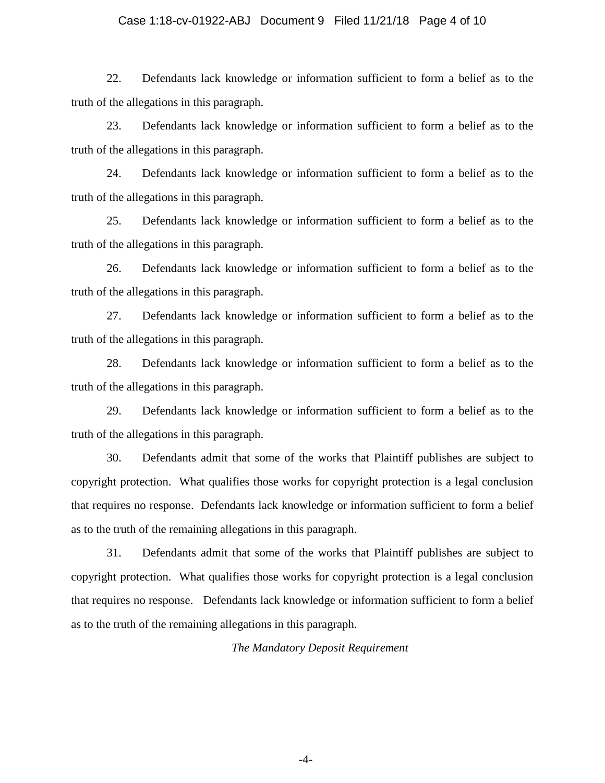#### Case 1:18-cv-01922-ABJ Document 9 Filed 11/21/18 Page 4 of 10

22. Defendants lack knowledge or information sufficient to form a belief as to the truth of the allegations in this paragraph.

23. Defendants lack knowledge or information sufficient to form a belief as to the truth of the allegations in this paragraph.

24. Defendants lack knowledge or information sufficient to form a belief as to the truth of the allegations in this paragraph.

25. Defendants lack knowledge or information sufficient to form a belief as to the truth of the allegations in this paragraph.

26. Defendants lack knowledge or information sufficient to form a belief as to the truth of the allegations in this paragraph.

27. Defendants lack knowledge or information sufficient to form a belief as to the truth of the allegations in this paragraph.

28. Defendants lack knowledge or information sufficient to form a belief as to the truth of the allegations in this paragraph.

29. Defendants lack knowledge or information sufficient to form a belief as to the truth of the allegations in this paragraph.

30. Defendants admit that some of the works that Plaintiff publishes are subject to copyright protection. What qualifies those works for copyright protection is a legal conclusion that requires no response. Defendants lack knowledge or information sufficient to form a belief as to the truth of the remaining allegations in this paragraph.

31. Defendants admit that some of the works that Plaintiff publishes are subject to copyright protection. What qualifies those works for copyright protection is a legal conclusion that requires no response. Defendants lack knowledge or information sufficient to form a belief as to the truth of the remaining allegations in this paragraph.

*The Mandatory Deposit Requirement*

-4-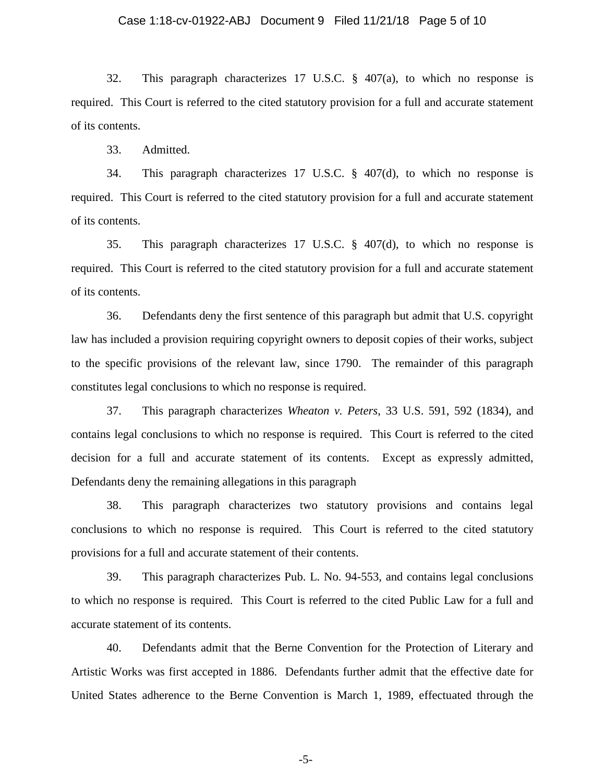#### Case 1:18-cv-01922-ABJ Document 9 Filed 11/21/18 Page 5 of 10

32. This paragraph characterizes 17 U.S.C. § 407(a), to which no response is required. This Court is referred to the cited statutory provision for a full and accurate statement of its contents.

33. Admitted.

34. This paragraph characterizes 17 U.S.C. § 407(d), to which no response is required. This Court is referred to the cited statutory provision for a full and accurate statement of its contents.

35. This paragraph characterizes 17 U.S.C. § 407(d), to which no response is required. This Court is referred to the cited statutory provision for a full and accurate statement of its contents.

36. Defendants deny the first sentence of this paragraph but admit that U.S. copyright law has included a provision requiring copyright owners to deposit copies of their works, subject to the specific provisions of the relevant law, since 1790. The remainder of this paragraph constitutes legal conclusions to which no response is required.

37. This paragraph characterizes *Wheaton v. Peters*, 33 U.S. 591, 592 (1834), and contains legal conclusions to which no response is required. This Court is referred to the cited decision for a full and accurate statement of its contents. Except as expressly admitted, Defendants deny the remaining allegations in this paragraph

38. This paragraph characterizes two statutory provisions and contains legal conclusions to which no response is required. This Court is referred to the cited statutory provisions for a full and accurate statement of their contents.

39. This paragraph characterizes Pub. L. No. 94-553, and contains legal conclusions to which no response is required. This Court is referred to the cited Public Law for a full and accurate statement of its contents.

40. Defendants admit that the Berne Convention for the Protection of Literary and Artistic Works was first accepted in 1886. Defendants further admit that the effective date for United States adherence to the Berne Convention is March 1, 1989, effectuated through the

-5-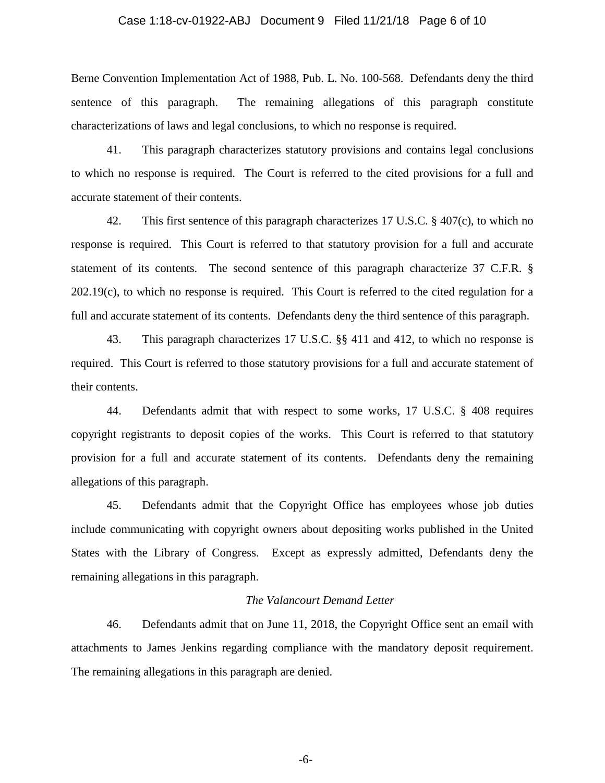#### Case 1:18-cv-01922-ABJ Document 9 Filed 11/21/18 Page 6 of 10

Berne Convention Implementation Act of 1988, Pub. L. No. 100-568. Defendants deny the third sentence of this paragraph. The remaining allegations of this paragraph constitute characterizations of laws and legal conclusions, to which no response is required.

41. This paragraph characterizes statutory provisions and contains legal conclusions to which no response is required. The Court is referred to the cited provisions for a full and accurate statement of their contents.

42. This first sentence of this paragraph characterizes 17 U.S.C. § 407(c), to which no response is required. This Court is referred to that statutory provision for a full and accurate statement of its contents. The second sentence of this paragraph characterize 37 C.F.R. § 202.19(c), to which no response is required. This Court is referred to the cited regulation for a full and accurate statement of its contents. Defendants deny the third sentence of this paragraph.

43. This paragraph characterizes 17 U.S.C. §§ 411 and 412, to which no response is required. This Court is referred to those statutory provisions for a full and accurate statement of their contents.

44. Defendants admit that with respect to some works, 17 U.S.C. § 408 requires copyright registrants to deposit copies of the works. This Court is referred to that statutory provision for a full and accurate statement of its contents. Defendants deny the remaining allegations of this paragraph.

45. Defendants admit that the Copyright Office has employees whose job duties include communicating with copyright owners about depositing works published in the United States with the Library of Congress. Except as expressly admitted, Defendants deny the remaining allegations in this paragraph.

### *The Valancourt Demand Letter*

46. Defendants admit that on June 11, 2018, the Copyright Office sent an email with attachments to James Jenkins regarding compliance with the mandatory deposit requirement. The remaining allegations in this paragraph are denied.

-6-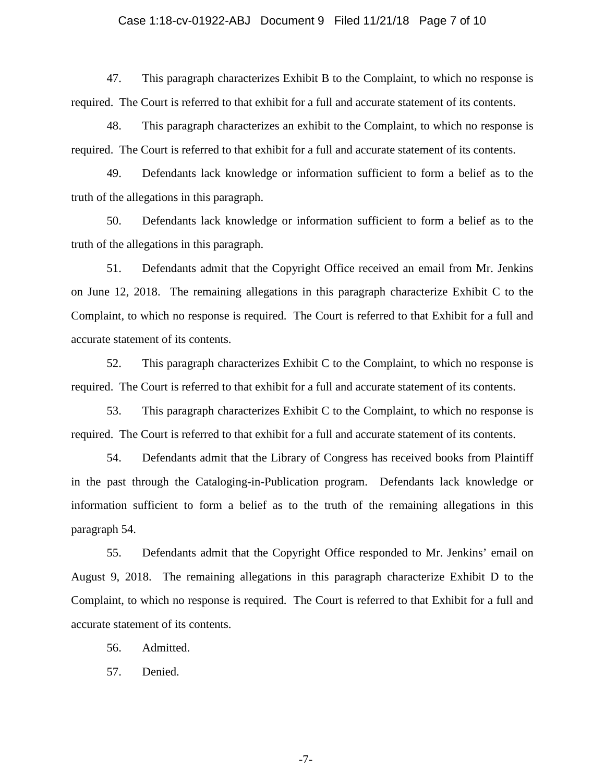#### Case 1:18-cv-01922-ABJ Document 9 Filed 11/21/18 Page 7 of 10

47. This paragraph characterizes Exhibit B to the Complaint, to which no response is required. The Court is referred to that exhibit for a full and accurate statement of its contents.

48. This paragraph characterizes an exhibit to the Complaint, to which no response is required. The Court is referred to that exhibit for a full and accurate statement of its contents.

49. Defendants lack knowledge or information sufficient to form a belief as to the truth of the allegations in this paragraph.

50. Defendants lack knowledge or information sufficient to form a belief as to the truth of the allegations in this paragraph.

51. Defendants admit that the Copyright Office received an email from Mr. Jenkins on June 12, 2018. The remaining allegations in this paragraph characterize Exhibit C to the Complaint, to which no response is required. The Court is referred to that Exhibit for a full and accurate statement of its contents.

52. This paragraph characterizes Exhibit C to the Complaint, to which no response is required. The Court is referred to that exhibit for a full and accurate statement of its contents.

53. This paragraph characterizes Exhibit C to the Complaint, to which no response is required. The Court is referred to that exhibit for a full and accurate statement of its contents.

54. Defendants admit that the Library of Congress has received books from Plaintiff in the past through the Cataloging-in-Publication program. Defendants lack knowledge or information sufficient to form a belief as to the truth of the remaining allegations in this paragraph 54.

55. Defendants admit that the Copyright Office responded to Mr. Jenkins' email on August 9, 2018. The remaining allegations in this paragraph characterize Exhibit D to the Complaint, to which no response is required. The Court is referred to that Exhibit for a full and accurate statement of its contents.

56. Admitted.

57. Denied.

-7-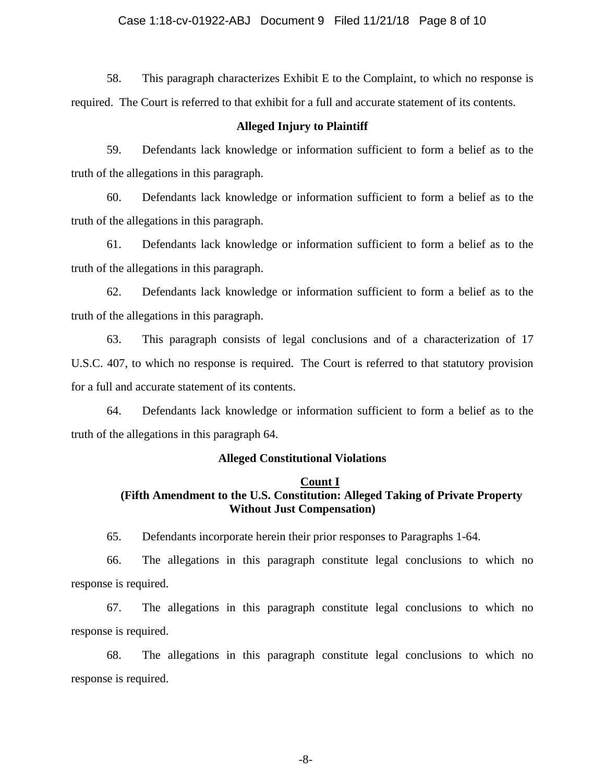58. This paragraph characterizes Exhibit E to the Complaint, to which no response is required. The Court is referred to that exhibit for a full and accurate statement of its contents.

#### **Alleged Injury to Plaintiff**

59. Defendants lack knowledge or information sufficient to form a belief as to the truth of the allegations in this paragraph.

60. Defendants lack knowledge or information sufficient to form a belief as to the truth of the allegations in this paragraph.

61. Defendants lack knowledge or information sufficient to form a belief as to the truth of the allegations in this paragraph.

62. Defendants lack knowledge or information sufficient to form a belief as to the truth of the allegations in this paragraph.

63. This paragraph consists of legal conclusions and of a characterization of 17 U.S.C. 407, to which no response is required. The Court is referred to that statutory provision for a full and accurate statement of its contents.

64. Defendants lack knowledge or information sufficient to form a belief as to the truth of the allegations in this paragraph 64.

#### **Alleged Constitutional Violations**

### **Count I (Fifth Amendment to the U.S. Constitution: Alleged Taking of Private Property Without Just Compensation)**

65. Defendants incorporate herein their prior responses to Paragraphs 1-64.

66. The allegations in this paragraph constitute legal conclusions to which no response is required.

67. The allegations in this paragraph constitute legal conclusions to which no response is required.

68. The allegations in this paragraph constitute legal conclusions to which no response is required.

-8-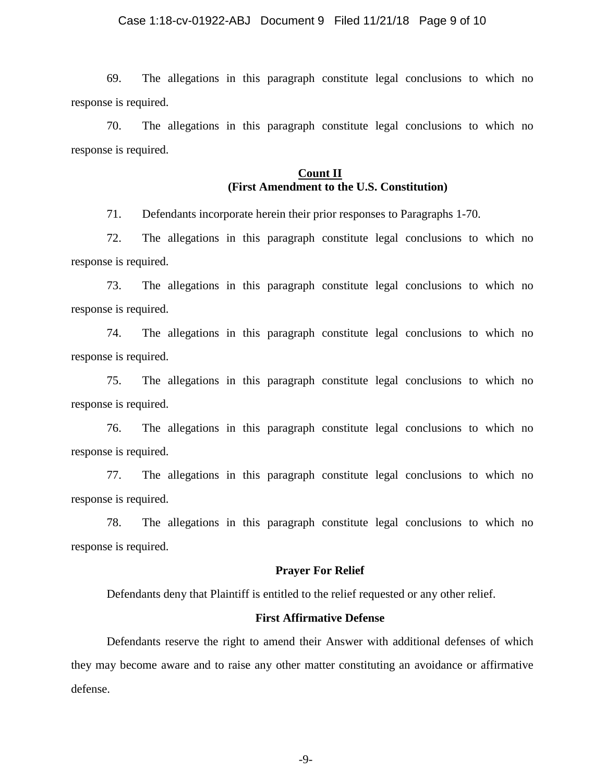#### Case 1:18-cv-01922-ABJ Document 9 Filed 11/21/18 Page 9 of 10

69. The allegations in this paragraph constitute legal conclusions to which no response is required.

70. The allegations in this paragraph constitute legal conclusions to which no response is required.

## **Count II (First Amendment to the U.S. Constitution)**

71. Defendants incorporate herein their prior responses to Paragraphs 1-70.

72. The allegations in this paragraph constitute legal conclusions to which no response is required.

73. The allegations in this paragraph constitute legal conclusions to which no response is required.

74. The allegations in this paragraph constitute legal conclusions to which no response is required.

75. The allegations in this paragraph constitute legal conclusions to which no response is required.

76. The allegations in this paragraph constitute legal conclusions to which no response is required.

77. The allegations in this paragraph constitute legal conclusions to which no response is required.

78. The allegations in this paragraph constitute legal conclusions to which no response is required.

## **Prayer For Relief**

Defendants deny that Plaintiff is entitled to the relief requested or any other relief.

#### **First Affirmative Defense**

Defendants reserve the right to amend their Answer with additional defenses of which they may become aware and to raise any other matter constituting an avoidance or affirmative defense.

-9-